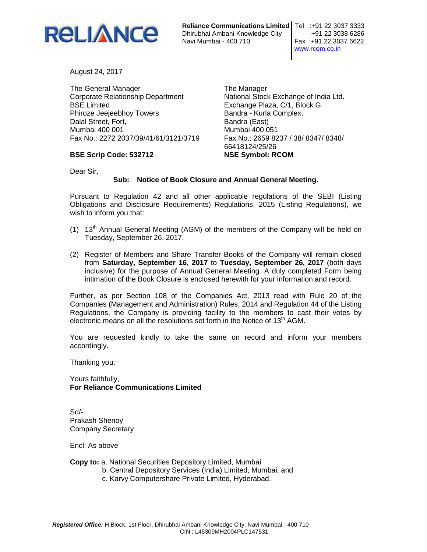

**Reliance Communications Limited | Tel :+91 22 3037 3333** Dhirubhai Ambani Knowledge City +91 22 3038 6286

Fax: +91 22 3037 6622 www.rcom.co.in

August 24, 2017

The General Manager Corporate Relationship Department BSE Limited Phiroze Jeejeebhoy Towers Dalal Street, Fort, Mumbai 400 001 Fax No.: 2272 2037/39/41/61/3121/3719

**BSE Scrip Code: 532712** 

The Manager National Stock Exchange of India Ltd. Exchange Plaza, C/1, Block G Bandra - Kurla Complex, Bandra (East) Mumbai 400 051 Fax No.: 2659 8237 / 38/ 8347/ 8348/ 66418124/25/26 **NSE Symbol: RCOM** 

Dear Sir,

## **Sub: Notice of Book Closure and Annual General Meeting.**

Pursuant to Regulation 42 and all other applicable regulations of the SEBI (Listing Obligations and Disclosure Requirements) Regulations, 2015 (Listing Regulations), we wish to inform you that:

- (1)  $13<sup>th</sup>$  Annual General Meeting (AGM) of the members of the Company will be held on Tuesday, September 26, 2017.
- (2) Register of Members and Share Transfer Books of the Company will remain closed from **Saturday, September 16, 2017** to **Tuesday, September 26, 2017** (both days inclusive) for the purpose of Annual General Meeting. A duly completed Form being intimation of the Book Closure is enclosed herewith for your information and record.

Further, as per Section 108 of the Companies Act, 2013 read with Rule 20 of the Companies (Management and Administration) Rules, 2014 and Regulation 44 of the Listing Regulations, the Company is providing facility to the members to cast their votes by electronic means on all the resolutions set forth in the Notice of 13<sup>th</sup> AGM.

You are requested kindly to take the same on record and inform your members accordingly.

Thanking you.

Yours faithfully, **For Reliance Communications Limited** 

Sd/- Prakash Shenoy Company Secretary

Encl: As above

**Copy to:** a. National Securities Depository Limited, Mumbai

- b. Central Depository Services (India) Limited, Mumbai, and
- c. Karvy Computershare Private Limited, Hyderabad.